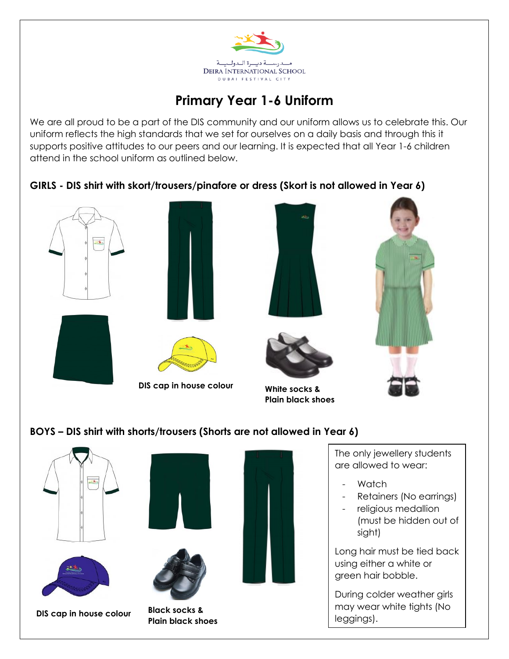

## **Primary Year 1-6 Uniform**

We are all proud to be a part of the DIS community and our uniform allows us to celebrate this. Our uniform reflects the high standards that we set for ourselves on a daily basis and through this it supports positive attitudes to our peers and our learning. It is expected that all Year 1-6 children attend in the school uniform as outlined below.

**GIRLS - DIS shirt with skort/trousers/pinafore or dress (Skort is not allowed in Year 6)**



- religious medallion
- (must be hidden out of sight)

Long hair must be tied back using either a white or green hair bobble.

During colder weather girls may wear white tights (No leggings).

**DIS cap in house colour Black socks &** 



**Plain black shoes**